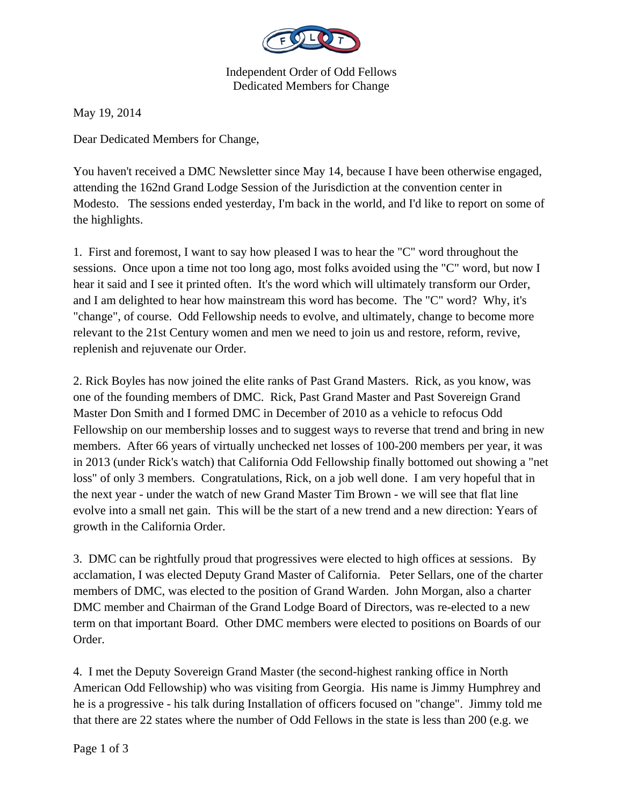

Independent Order of Odd Fellows Dedicated Members for Change

May 19, 2014

Dear Dedicated Members for Change,

You haven't received a DMC Newsletter since May 14, because I have been otherwise engaged, attending the 162nd Grand Lodge Session of the Jurisdiction at the convention center in Modesto. The sessions ended yesterday, I'm back in the world, and I'd like to report on some of the highlights.

1. First and foremost, I want to say how pleased I was to hear the "C" word throughout the sessions. Once upon a time not too long ago, most folks avoided using the "C" word, but now I hear it said and I see it printed often. It's the word which will ultimately transform our Order, and I am delighted to hear how mainstream this word has become. The "C" word? Why, it's "change", of course. Odd Fellowship needs to evolve, and ultimately, change to become more relevant to the 21st Century women and men we need to join us and restore, reform, revive, replenish and rejuvenate our Order.

2. Rick Boyles has now joined the elite ranks of Past Grand Masters. Rick, as you know, was one of the founding members of DMC. Rick, Past Grand Master and Past Sovereign Grand Master Don Smith and I formed DMC in December of 2010 as a vehicle to refocus Odd Fellowship on our membership losses and to suggest ways to reverse that trend and bring in new members. After 66 years of virtually unchecked net losses of 100-200 members per year, it was in 2013 (under Rick's watch) that California Odd Fellowship finally bottomed out showing a "net loss" of only 3 members. Congratulations, Rick, on a job well done. I am very hopeful that in the next year - under the watch of new Grand Master Tim Brown - we will see that flat line evolve into a small net gain. This will be the start of a new trend and a new direction: Years of growth in the California Order.

3. DMC can be rightfully proud that progressives were elected to high offices at sessions. By acclamation, I was elected Deputy Grand Master of California. Peter Sellars, one of the charter members of DMC, was elected to the position of Grand Warden. John Morgan, also a charter DMC member and Chairman of the Grand Lodge Board of Directors, was re-elected to a new term on that important Board. Other DMC members were elected to positions on Boards of our Order.

4. I met the Deputy Sovereign Grand Master (the second-highest ranking office in North American Odd Fellowship) who was visiting from Georgia. His name is Jimmy Humphrey and he is a progressive - his talk during Installation of officers focused on "change". Jimmy told me that there are 22 states where the number of Odd Fellows in the state is less than 200 (e.g. we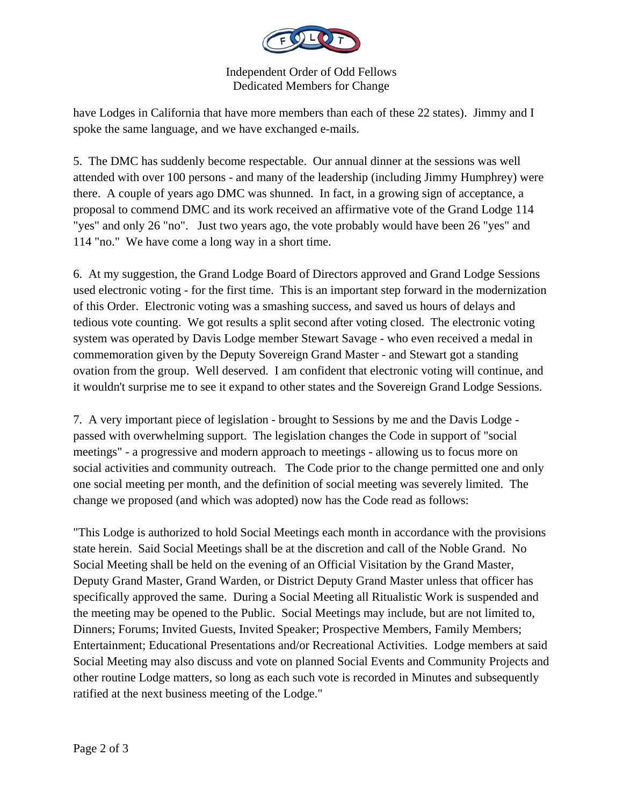

Independent Order of Odd Fellows Dedicated Members for Change

have Lodges in California that have more members than each of these 22 states). Jimmy and I spoke the same language, and we have exchanged e-mails.

5. The DMC has suddenly become respectable. Our annual dinner at the sessions was well attended with over 100 persons - and many of the leadership (including Jimmy Humphrey) were there. A couple of years ago DMC was shunned. In fact, in a growing sign of acceptance, a proposal to commend DMC and its work received an affirmative vote of the Grand Lodge 114 "yes" and only 26 "no". Just two years ago, the vote probably would have been 26 "yes" and 114 "no." We have come a long way in a short time.

6. At my suggestion, the Grand Lodge Board of Directors approved and Grand Lodge Sessions used electronic voting - for the first time. This is an important step forward in the modernization of this Order. Electronic voting was a smashing success, and saved us hours of delays and tedious vote counting. We got results a split second after voting closed. The electronic voting system was operated by Davis Lodge member Stewart Savage - who even received a medal in commemoration given by the Deputy Sovereign Grand Master - and Stewart got a standing ovation from the group. Well deserved. I am confident that electronic voting will continue, and it wouldn't surprise me to see it expand to other states and the Sovereign Grand Lodge Sessions.

7. A very important piece of legislation - brought to Sessions by me and the Davis Lodge passed with overwhelming support. The legislation changes the Code in support of "social meetings" - a progressive and modern approach to meetings - allowing us to focus more on social activities and community outreach. The Code prior to the change permitted one and only one social meeting per month, and the definition of social meeting was severely limited. The change we proposed (and which was adopted) now has the Code read as follows:

"This Lodge is authorized to hold Social Meetings each month in accordance with the provisions state herein. Said Social Meetings shall be at the discretion and call of the Noble Grand. No Social Meeting shall be held on the evening of an Official Visitation by the Grand Master, Deputy Grand Master, Grand Warden, or District Deputy Grand Master unless that officer has specifically approved the same. During a Social Meeting all Ritualistic Work is suspended and the meeting may be opened to the Public. Social Meetings may include, but are not limited to, Dinners; Forums; Invited Guests, Invited Speaker; Prospective Members, Family Members; Entertainment; Educational Presentations and/or Recreational Activities. Lodge members at said Social Meeting may also discuss and vote on planned Social Events and Community Projects and other routine Lodge matters, so long as each such vote is recorded in Minutes and subsequently ratified at the next business meeting of the Lodge."